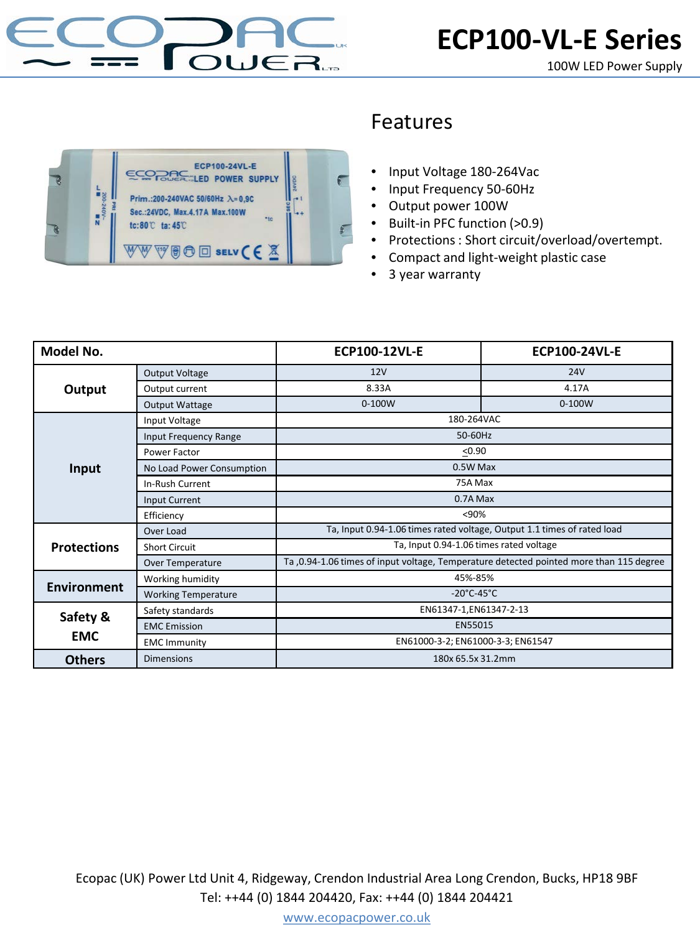



## Features

- Input Voltage 180-264Vac
- Input Frequency 50-60Hz
- Output power 100W
- Built-in PFC function (>0.9)
- Protections : Short circuit/overload/overtempt.
- Compact and light-weight plastic case
- 3 year warranty

| Model No.              |                              | <b>ECP100-12VL-E</b>                                                                     | <b>ECP100-24VL-E</b> |
|------------------------|------------------------------|------------------------------------------------------------------------------------------|----------------------|
| Output                 | <b>Output Voltage</b>        | 12V                                                                                      | <b>24V</b>           |
|                        | Output current               | 8.33A                                                                                    | 4.17A                |
|                        | <b>Output Wattage</b>        | $0-100W$                                                                                 | $0-100W$             |
| Input                  | Input Voltage                | 180-264VAC                                                                               |                      |
|                        | <b>Input Frequency Range</b> | 50-60Hz                                                                                  |                      |
|                        | Power Factor                 | < 0.90                                                                                   |                      |
|                        | No Load Power Consumption    | 0.5W Max                                                                                 |                      |
|                        | In-Rush Current              | 75A Max                                                                                  |                      |
|                        | Input Current                | 0.7A Max                                                                                 |                      |
|                        | Efficiency                   | < 90%                                                                                    |                      |
| <b>Protections</b>     | Over Load                    | Ta, Input 0.94-1.06 times rated voltage, Output 1.1 times of rated load                  |                      |
|                        | <b>Short Circuit</b>         | Ta, Input 0.94-1.06 times rated voltage                                                  |                      |
|                        | Over Temperature             | Ta , 0.94-1.06 times of input voltage, Temperature detected pointed more than 115 degree |                      |
| <b>Environment</b>     | Working humidity             | 45%-85%                                                                                  |                      |
|                        | <b>Working Temperature</b>   | $-20^{\circ}$ C-45 $^{\circ}$ C                                                          |                      |
| Safety &<br><b>EMC</b> | Safety standards             | EN61347-1,EN61347-2-13                                                                   |                      |
|                        | <b>EMC</b> Emission          | EN55015                                                                                  |                      |
|                        | <b>EMC Immunity</b>          | EN61000-3-2; EN61000-3-3; EN61547                                                        |                      |
| <b>Others</b>          | <b>Dimensions</b>            | 180x 65.5x 31.2mm                                                                        |                      |

Ecopac (UK) Power Ltd Unit 4, Ridgeway, Crendon Industrial Area Long Crendon, Bucks, HP18 9BF Tel: ++44 (0) 1844 204420, Fax: ++44 (0) 1844 204421